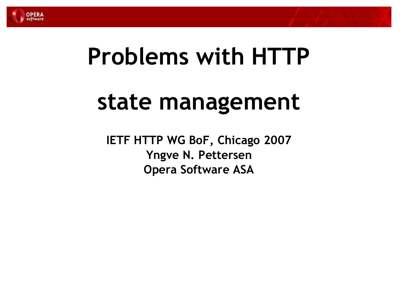

# Problems with HTTP

# state management

IETF HTTP WG BoF, Chicago <sup>2007</sup>Yngve N. PettersenOpera Software ASA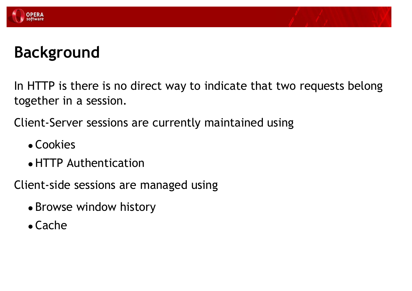

# Background

In HTTP is there is no direct way to indicate that two requests belongtogether in <sup>a</sup> session.

Client-Server sessions are currently maintained using

- Cookies
- HTTP Authentication

Client-side sessions are managed using

- Browse window history
- Cache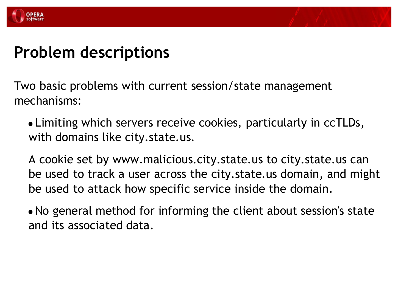

# Problem descriptions

Two basic problems with current session/state management mechanisms:

Limiting which servers receive cookies, particularly in ccTLDs, with domains like city.state.us.

<sup>A</sup> cookie set by www.malicious.city.state.us to city.state.us can be used to track <sup>a</sup> user across the city.state.us domain, and might be used to attack how specific service inside the domain.

• No general method for informing the client about session's state and its associated data.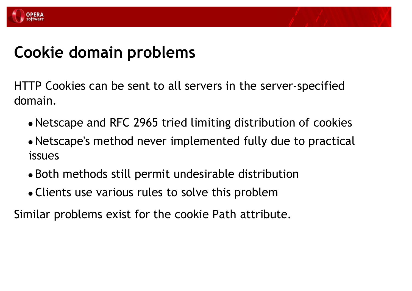

# Cookie domain problems

HTTP Cookies can be sent to all servers in the server-specifieddomain.

- Netscape and RFC <sup>2965</sup> tried limiting distribution of cookies
- Netscape's method never implemented fully due to practical issues
- Both methods still permit undesirable distribution
- Clients use various rules to solve this problem

Similar problems exist for the cookie Path attribute.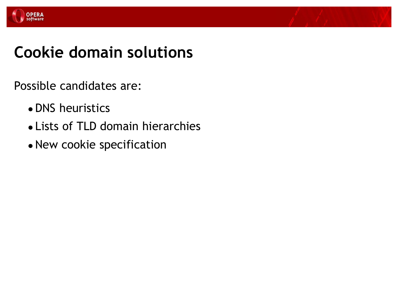

# Cookie domain solutions

Possible candidates are:

- DNS heuristics
- Lists of TLD domain hierarchies
- New cookie specification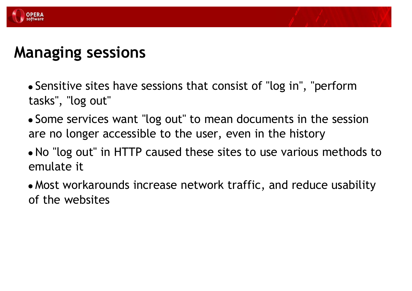

#### Managing sessions

- Sensitive sites have sessions that consist of "log in", "perform tasks", "log out"
- Some services want "log out" to mean documents in the sessionare no longer accessible to the user, even in the history
- No "log out" in HTTP caused these sites to use various methods toemulate it
- Most workarounds increase network traffic, and reduce usability of the websites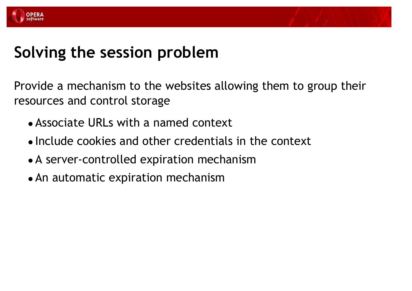



#### Solving the session problem

Provide <sup>a</sup> mechanism to the websites allowing them to group their resources and control storage

- Associate URLs with <sup>a</sup> named context
- Include cookies and other credentials in the context
- A server-controlled expiration mechanism
- An automatic expiration mechanism